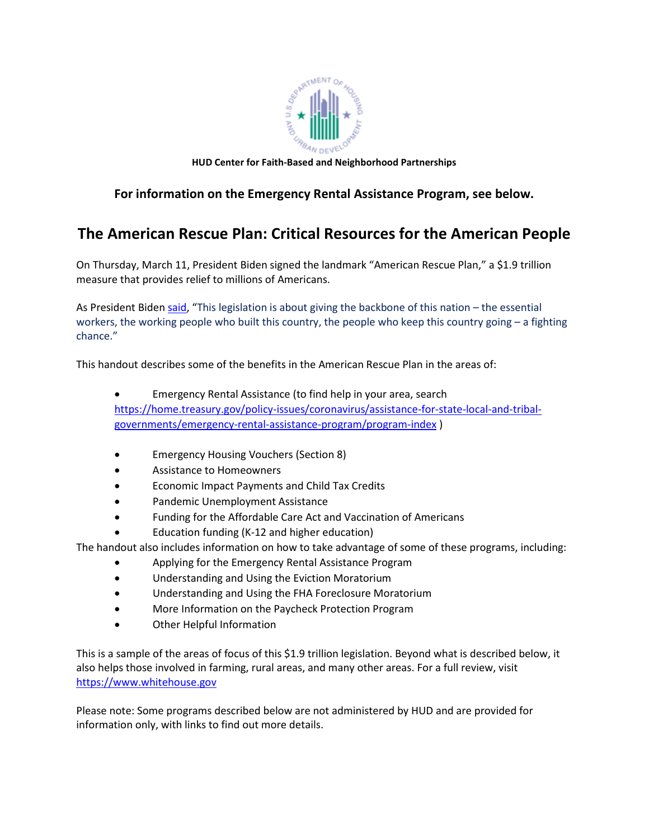

**HUD Center for Faith-Based and Neighborhood Partnerships**

# **For information on the Emergency Rental Assistance Program, see below.**

# **The American Rescue Plan: Critical Resources for the American People**

On Thursday, March 11, President Biden signed the landmark "American Rescue Plan," a \$1.9 trillion measure that provides relief to millions of Americans.

As President Biden [said,](https://www.whitehouse.gov/briefing-room/statements-releases/2021/03/10/statement-by-president-joe-biden-on-the-house-passage-of-the-american-rescue-plan/) "This legislation is about giving the backbone of this nation – the essential workers, the working people who built this country, the people who keep this country going – a fighting chance."

This handout describes some of the benefits in the American Rescue Plan in the areas of:

- Emergency Rental Assistance (to find help in your area, search [https://home.treasury.gov/policy-issues/coronavirus/assistance-for-state-local-and-tribal](https://home.treasury.gov/policy-issues/coronavirus/assistance-for-state-local-and-tribal-governments/emergency-rental-assistance-program/program-index)[governments/emergency-rental-assistance-program/program-index](https://home.treasury.gov/policy-issues/coronavirus/assistance-for-state-local-and-tribal-governments/emergency-rental-assistance-program/program-index) )
- Emergency Housing Vouchers (Section 8)
- Assistance to Homeowners
- Economic Impact Payments and Child Tax Credits
- Pandemic Unemployment Assistance
- Funding for the Affordable Care Act and Vaccination of Americans
- Education funding (K-12 and higher education)

The handout also includes information on how to take advantage of some of these programs, including:

- Applying for the Emergency Rental Assistance Program
- Understanding and Using the Eviction Moratorium
- Understanding and Using the FHA Foreclosure Moratorium
- More Information on the Paycheck Protection Program
- Other Helpful Information

This is a sample of the areas of focus of this \$1.9 trillion legislation. Beyond what is described below, it also helps those involved in farming, rural areas, and many other areas. For a full review, visit [https://www.whitehouse.gov](https://www.whitehouse.gov/)

Please note: Some programs described below are not administered by HUD and are provided for information only, with links to find out more details.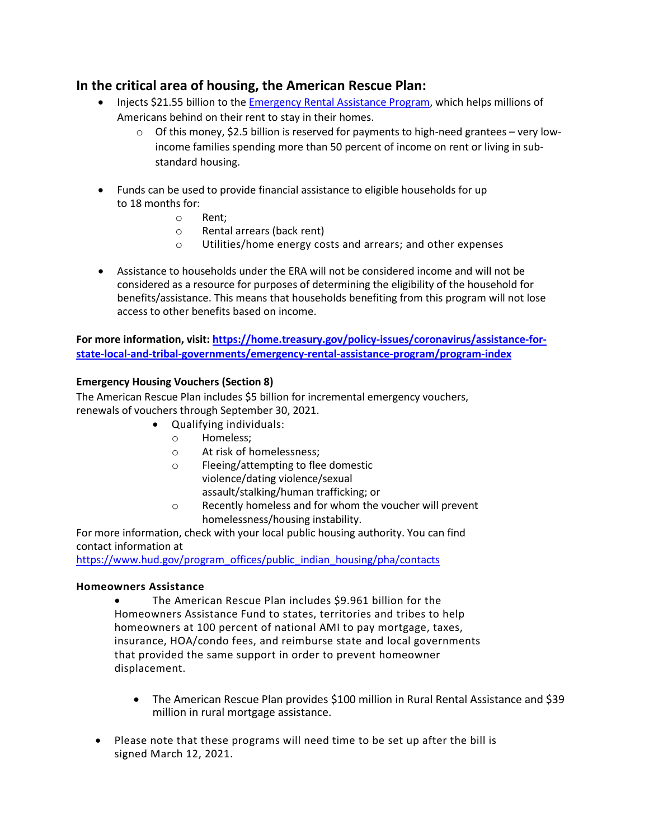# **In the critical area of housing, the American Rescue Plan:**

- Injects \$21.55 billion to the [Emergency Rental Assistance Program,](https://home.treasury.gov/policy-issues/cares/emergency-rental-assistance-program) which helps millions of Americans behind on their rent to stay in their homes.
	- $\circ$  Of this money, \$2.5 billion is reserved for payments to high-need grantees very lowincome families spending more than 50 percent of income on rent or living in substandard housing.
- Funds can be used to provide financial assistance to eligible households for up to 18 months for:
	- o Rent;
	- $\circ$  Rental arrears (back rent)<br> $\circ$  Utilities/home energy co
	- Utilities/home energy costs and arrears; and other expenses
- Assistance to households under the ERA will not be considered income and will not be considered as a resource for purposes of determining the eligibility of the household for benefits/assistance. This means that households benefiting from this program will not lose access to other benefits based on income.

**For more information, visit[: https://home.treasury.gov/policy-issues/coronavirus/assistance-for](https://home.treasury.gov/policy-issues/coronavirus/assistance-for-state-local-and-tribal-governments/emergency-rental-assistance-program/program-index)[state-local-and-tribal-governments/emergency-rental-assistance-program/program-index](https://home.treasury.gov/policy-issues/coronavirus/assistance-for-state-local-and-tribal-governments/emergency-rental-assistance-program/program-index)**

#### **Emergency Housing Vouchers (Section 8)**

The American Rescue Plan includes \$5 billion for incremental emergency vouchers, renewals of vouchers through September 30, 2021.

- Qualifying individuals:
	- o Homeless;
	- o At risk of homelessness;<br>
	o Fleeing/attempting to flee
	- Fleeing/attempting to flee domestic violence/dating violence/sexual assault/stalking/human trafficking; or
	- o Recently homeless and for whom the voucher will prevent homelessness/housing instability.

For more information, check with your local public housing authority. You can find contact information at

[https://www.hud.gov/program\\_offices/public\\_indian\\_housing/pha/contacts](https://www.hud.gov/program_offices/public_indian_housing/pha/contacts)

#### **Homeowners Assistance**

- The American Rescue Plan includes \$9.961 billion for the Homeowners Assistance Fund to states, territories and tribes to help homeowners at 100 percent of national AMI to pay mortgage, taxes, insurance, HOA/condo fees, and reimburse state and local governments that provided the same support in order to prevent homeowner displacement.
	- The American Rescue Plan provides \$100 million in Rural Rental Assistance and \$39 million in rural mortgage assistance.
- Please note that these programs will need time to be set up after the bill is signed March 12, 2021.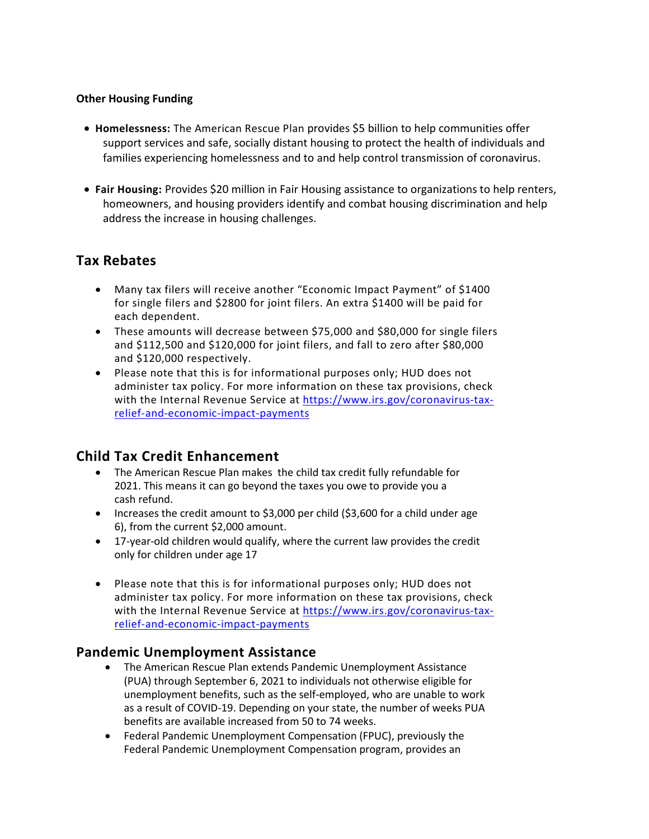## **Other Housing Funding**

- **Homelessness:** The American Rescue Plan provides \$5 billion to help communities offer support services and safe, socially distant housing to protect the health of individuals and families experiencing homelessness and to and help control transmission of coronavirus.
- **Fair Housing:** Provides \$20 million in Fair Housing assistance to organizations to help renters, homeowners, and housing providers identify and combat housing discrimination and help address the increase in housing challenges.

# **Tax Rebates**

- Many tax filers will receive another "Economic Impact Payment" of \$1400 for single filers and \$2800 for joint filers. An extra \$1400 will be paid for each dependent.
- These amounts will decrease between \$75,000 and \$80,000 for single filers and \$112,500 and \$120,000 for joint filers, and fall to zero after \$80,000 and \$120,000 respectively.
- Please note that this is for informational purposes only; HUD does not administer tax policy. For more information on these tax provisions, check with the Internal Revenue Service at [https://www.irs.gov/coronavirus-tax](https://www.irs.gov/coronavirus-tax-relief-and-economic-impact-payments)[relief-and-economic-impact-payments](https://www.irs.gov/coronavirus-tax-relief-and-economic-impact-payments)

# **Child Tax Credit Enhancement**

- The American Rescue Plan makes the child tax credit fully refundable for 2021. This means it can go beyond the taxes you owe to provide you a cash refund.
- Increases the credit amount to \$3,000 per child (\$3,600 for a child under age 6), from the current \$2,000 amount.
- 17-year-old children would qualify, where the current law provides the credit only for children under age 17
- Please note that this is for informational purposes only; HUD does not administer tax policy. For more information on these tax provisions, check with the Internal Revenue Service at [https://www.irs.gov/coronavirus-tax](https://www.irs.gov/coronavirus-tax-relief-and-economic-impact-payments)[relief-and-economic-impact-payments](https://www.irs.gov/coronavirus-tax-relief-and-economic-impact-payments)

# **Pandemic Unemployment Assistance**

- The American Rescue Plan extends Pandemic Unemployment Assistance (PUA) through September 6, 2021 to individuals not otherwise eligible for unemployment benefits, such as the self-employed, who are unable to work as a result of COVID-19. Depending on your state, the number of weeks PUA benefits are available increased from 50 to 74 weeks.
- Federal Pandemic Unemployment Compensation (FPUC), previously the Federal Pandemic Unemployment Compensation program, provides an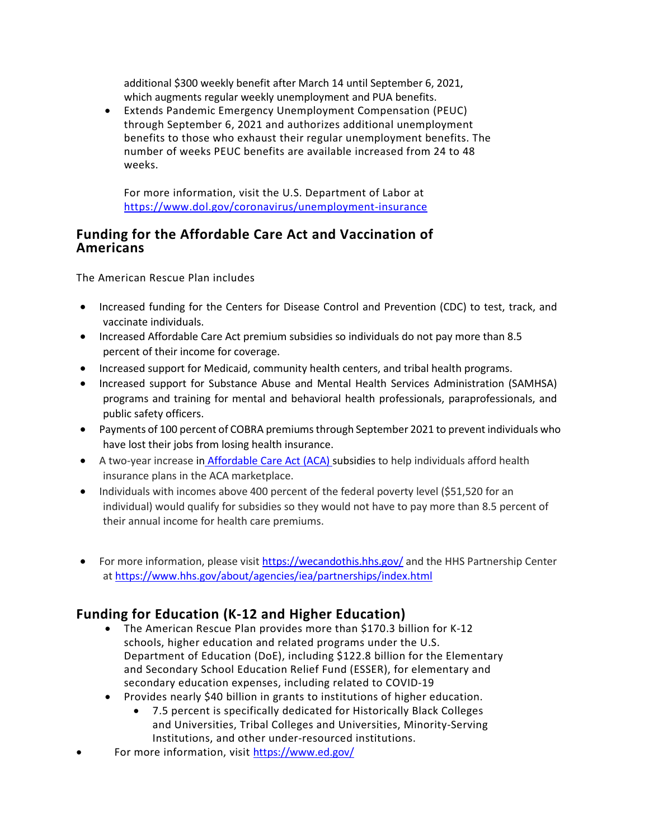additional \$300 weekly benefit after March 14 until September 6, 2021**,**  which augments regular weekly unemployment and PUA benefits.

• Extends Pandemic Emergency Unemployment Compensation (PEUC) through September 6, 2021 and authorizes additional unemployment benefits to those who exhaust their regular unemployment benefits. The number of weeks PEUC benefits are available increased from 24 to 48 weeks.

For more information, visit the U.S. Department of Labor at <https://www.dol.gov/coronavirus/unemployment-insurance>

## **Funding for the Affordable Care Act and Vaccination of Americans**

The American Rescue Plan includes

- Increased funding for the Centers for Disease Control and Prevention (CDC) to test, track, and vaccinate individuals.
- Increased Affordable Care Act premium subsidies so individuals do not pay more than 8.5 percent of their income for coverage.
- Increased support for Medicaid, community health centers, and tribal health programs.
- Increased support for Substance Abuse and Mental Health Services Administration (SAMHSA) programs and training for mental and behavioral health professionals, paraprofessionals, and public safety officers.
- Payments of 100 percent of COBRA premiums through September 2021 to prevent individuals who have lost their jobs from losing health insurance.
- A two-year increase in [Affordable Care Act \(ACA\)](https://www.hhs.gov/answers/affordable-care-act/what-is-the-affordable-care-act/index.html) subsidies to help individuals afford health insurance plans in the ACA marketplace.
- Individuals with incomes above 400 percent of the federal poverty level (\$51,520 for an individual) would qualify for subsidies so they would not have to pay more than 8.5 percent of their annual income for health care premiums.
- For more information, please visit<https://wecandothis.hhs.gov/> and the HHS Partnership Center a[t https://www.hhs.gov/about/agencies/iea/partnerships/index.html](https://www.hhs.gov/about/agencies/iea/partnerships/index.html)

# **Funding for Education (K-12 and Higher Education)**

- The American Rescue Plan provides more than \$170.3 billion for K-12 schools, higher education and related programs under the U.S. Department of Education (DoE), including \$122.8 billion for the Elementary and Secondary School Education Relief Fund (ESSER), for elementary and secondary education expenses, including related to COVID-19
- Provides nearly \$40 billion in grants to institutions of higher education.
	- 7.5 percent is specifically dedicated for Historically Black Colleges and Universities, Tribal Colleges and Universities, Minority-Serving Institutions, and other under-resourced institutions.
- For more information, visit<https://www.ed.gov/>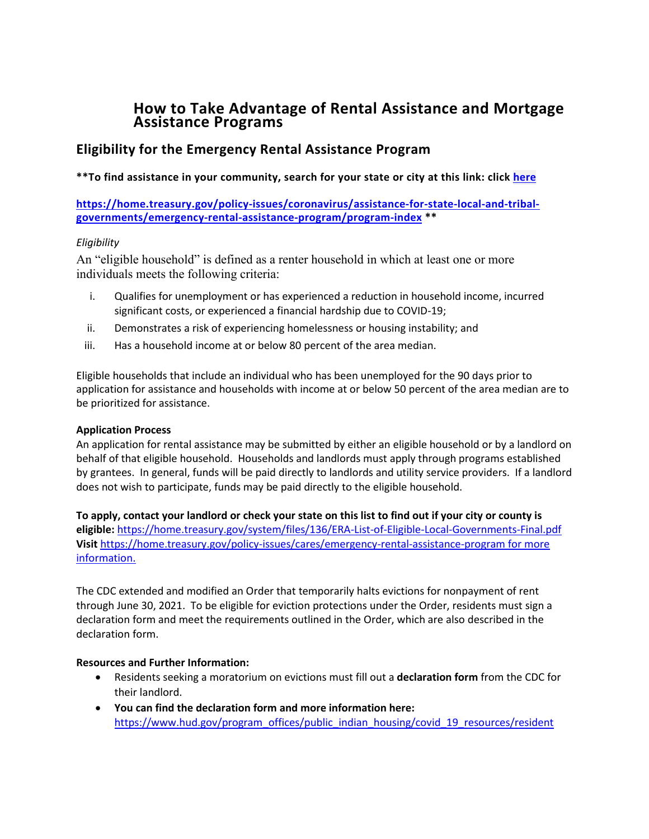# **How to Take Advantage of Rental Assistance and Mortgage Assistance Programs**

## **Eligibility for the Emergency Rental Assistance Program**

## **\*\*To find assistance in your community, search for your state or city at this link: click [here](https://hudgov-my.sharepoint.com/personal/joshua_l_bancroft_hud_gov/Documents/Joe%20Biden%2046/ARP%20items/here)**

**[https://home.treasury.gov/policy-issues/coronavirus/assistance-for-state-local-and-tribal](https://home.treasury.gov/policy-issues/coronavirus/assistance-for-state-local-and-tribal-governments/emergency-rental-assistance-program/program-index)[governments/emergency-rental-assistance-program/program-index](https://home.treasury.gov/policy-issues/coronavirus/assistance-for-state-local-and-tribal-governments/emergency-rental-assistance-program/program-index) \*\*** 

## *Eligibility*

An "eligible household" is defined as a renter household in which at least one or more individuals meets the following criteria:

- i. Qualifies for unemployment or has experienced a reduction in household income, incurred significant costs, or experienced a financial hardship due to COVID-19;
- ii. Demonstrates a risk of experiencing homelessness or housing instability; and
- iii. Has a household income at or below 80 percent of the area median.

Eligible households that include an individual who has been unemployed for the 90 days prior to application for assistance and households with income at or below 50 percent of the area median are to be prioritized for assistance.

#### **Application Process**

An application for rental assistance may be submitted by either an eligible household or by a landlord on behalf of that eligible household. Households and landlords must apply through programs established by grantees. In general, funds will be paid directly to landlords and utility service providers. If a landlord does not wish to participate, funds may be paid directly to the eligible household.

**To apply, contact your landlord or check your state on this list to find out if your city or county is eligible:** <https://home.treasury.gov/system/files/136/ERA-List-of-Eligible-Local-Governments-Final.pdf> **Visit** <https://home.treasury.gov/policy-issues/cares/emergency-rental-assistance-program> for more information.

The CDC extended and modified an Order that temporarily halts evictions for nonpayment of rent through June 30, 2021. To be eligible for eviction protections under the Order, residents must sign a declaration form and meet the requirements outlined in the Order, which are also described in the declaration form.

#### **Resources and Further Information:**

- Residents seeking a moratorium on evictions must fill out a **declaration form** from the CDC for their landlord.
- **You can find the declaration form and more information here:**  [https://www.hud.gov/program\\_offices/public\\_indian\\_housing/covid\\_19\\_resources/resident](https://www.hud.gov/program_offices/public_indian_housing/covid_19_resources/resident)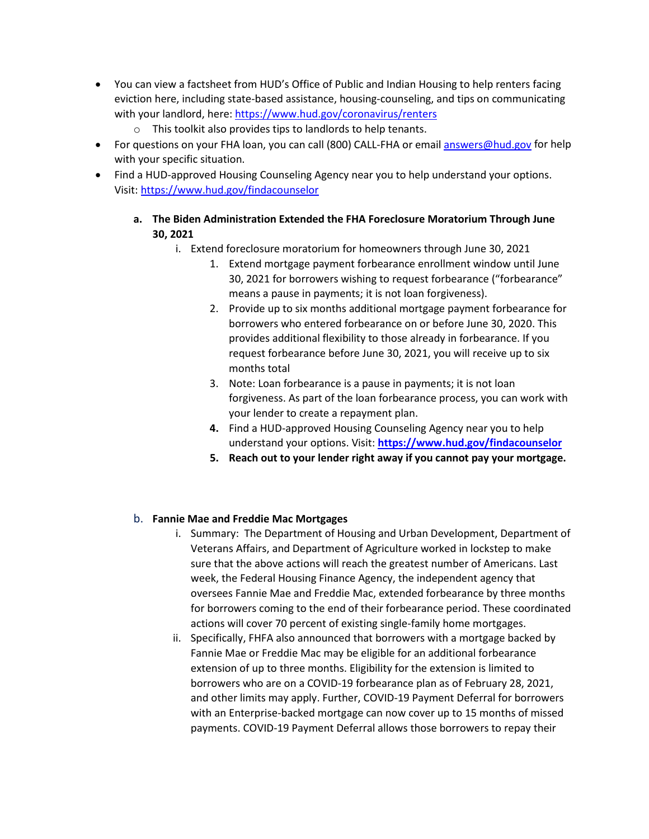- You can view a factsheet from HUD's Office of Public and Indian Housing to help renters facing eviction here, including state-based assistance, housing-counseling, and tips on communicating with your landlord, here[: https://www.hud.gov/coronavirus/renters](https://www.hud.gov/coronavirus/renters)
	- o This toolkit also provides tips to landlords to help tenants.
- For questions on your FHA loan, you can call (800) CALL-FHA or email **answers@hud.gov** for help with your specific situation.
- Find a HUD-approved Housing Counseling Agency near you to help understand your options. Visit[: https://www.hud.gov/findacounselor](https://www.hud.gov/findacounselor)
	- **a. The Biden Administration Extended the FHA Foreclosure Moratorium Through June 30, 2021**
		- i. Extend foreclosure moratorium for homeowners through June 30, 2021
			- 1. Extend mortgage payment forbearance enrollment window until June 30, 2021 for borrowers wishing to request forbearance ("forbearance" means a pause in payments; it is not loan forgiveness).
			- 2. Provide up to six months additional mortgage payment forbearance for borrowers who entered forbearance on or before June 30, 2020. This provides additional flexibility to those already in forbearance. If you request forbearance before June 30, 2021, you will receive up to six months total
			- 3. Note: Loan forbearance is a pause in payments; it is not loan forgiveness. As part of the loan forbearance process, you can work with your lender to create a repayment plan.
			- **4.** Find a HUD-approved Housing Counseling Agency near you to help understand your options. Visit: **<https://www.hud.gov/findacounselor>**
			- **5. Reach out to your lender right away if you cannot pay your mortgage.**

## b. **Fannie Mae and Freddie Mac Mortgages**

- i. Summary: The Department of Housing and Urban Development, Department of Veterans Affairs, and Department of Agriculture worked in lockstep to make sure that the above actions will reach the greatest number of Americans. Last week, the Federal Housing Finance Agency, the independent agency that oversees Fannie Mae and Freddie Mac, extended forbearance by three months for borrowers coming to the end of their forbearance period. These coordinated actions will cover 70 percent of existing single-family home mortgages.
- ii. Specifically, FHFA also announced that borrowers with a mortgage backed by Fannie Mae or Freddie Mac may be eligible for an additional forbearance extension of up to three months. Eligibility for the extension is limited to borrowers who are on a COVID-19 forbearance plan as of February 28, 2021, and other limits may apply. Further, COVID-19 Payment Deferral for borrowers with an Enterprise-backed mortgage can now cover up to 15 months of missed payments. COVID-19 Payment Deferral allows those borrowers to repay their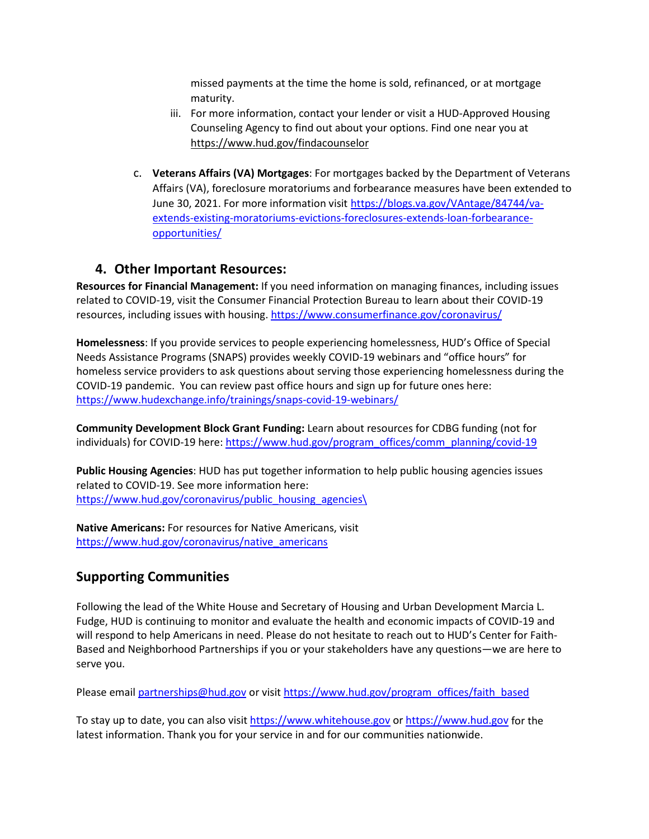missed payments at the time the home is sold, refinanced, or at mortgage maturity.

- iii. For more information, contact your lender or visit a HUD-Approved Housing Counseling Agency to find out about your options. Find one near you at <https://www.hud.gov/findacounselor>
- c. **Veterans Affairs (VA) Mortgages**: For mortgages backed by the Department of Veterans Affairs (VA), foreclosure moratoriums and forbearance measures have been extended to June 30, 2021. For more information visit [https://blogs.va.gov/VAntage/84744/va](https://blogs.va.gov/VAntage/84744/va-extends-existing-moratoriums-evictions-foreclosures-extends-loan-forbearance-opportunities/)[extends-existing-moratoriums-evictions-foreclosures-extends-loan-forbearance](https://blogs.va.gov/VAntage/84744/va-extends-existing-moratoriums-evictions-foreclosures-extends-loan-forbearance-opportunities/)[opportunities/](https://blogs.va.gov/VAntage/84744/va-extends-existing-moratoriums-evictions-foreclosures-extends-loan-forbearance-opportunities/)

# **4. Other Important Resources:**

**Resources for Financial Management:** If you need information on managing finances, including issues related to COVID-19, visit the Consumer Financial Protection Bureau to learn about their COVID-19 resources, including issues with housing[. https://www.consumerfinance.gov/coronavirus/](https://www.consumerfinance.gov/coronavirus/)

**Homelessness**: If you provide services to people experiencing homelessness, HUD's Office of Special Needs Assistance Programs (SNAPS) provides weekly COVID-19 webinars and "office hours" for homeless service providers to ask questions about serving those experiencing homelessness during the COVID-19 pandemic. You can review past office hours and sign up for future ones here: <https://www.hudexchange.info/trainings/snaps-covid-19-webinars/>

**Community Development Block Grant Funding:** Learn about resources for CDBG funding (not for individuals) for COVID-19 here: [https://www.hud.gov/program\\_offices/comm\\_planning/covid-19](https://www.hud.gov/program_offices/comm_planning/covid-19)

**Public Housing Agencies**: HUD has put together information to help public housing agencies issues related to COVID-19. See more information here: [https://www.hud.gov/coronavirus/public\\_housing\\_agencies\](https://www.hud.gov/coronavirus/public_housing_agencies/)

**Native Americans:** For resources for Native Americans, visit [https://www.hud.gov/coronavirus/native\\_americans](https://www.hud.gov/coronavirus/native_americans)

# **Supporting Communities**

Following the lead of the White House and Secretary of Housing and Urban Development Marcia L. Fudge, HUD is continuing to monitor and evaluate the health and economic impacts of COVID-19 and will respond to help Americans in need. Please do not hesitate to reach out to HUD's Center for Faith-Based and Neighborhood Partnerships if you or your stakeholders have any questions—we are here to serve you.

Please email [partnerships@hud.gov](mailto:partnerships@hud.gov) or visi[t https://www.hud.gov/program\\_offices/faith\\_based](https://www.hud.gov/program_offices/faith_based)

To stay up to date, you can also visit [https://www.whitehouse.gov](https://www.whitehouse.gov/) or [https://www.hud.gov](https://www.hud.gov/) for the latest information. Thank you for your service in and for our communities nationwide.